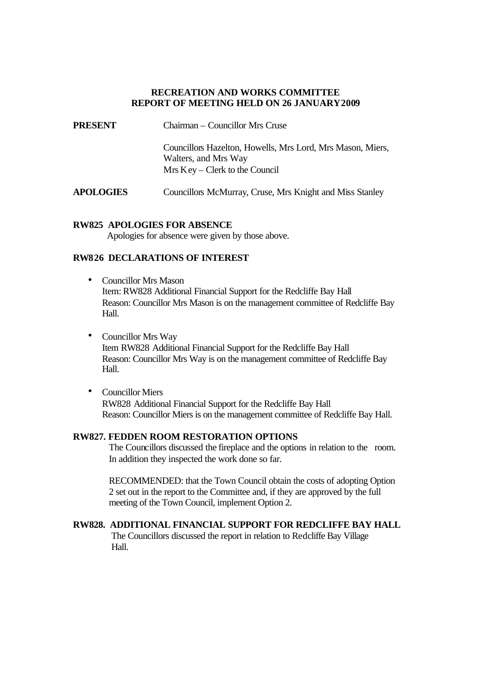## **RECREATION AND WORKS COMMITTEE REPORT OF MEETING HELD ON 26 JANUARY 2009**

**PRESENT** Chairman – Councillor Mrs Cruse Councillors Hazelton, Howells, Mrs Lord, Mrs Mason, Miers, Walters, and Mrs Way Mrs Key – Clerk to the Council **APOLOGIES** Councillors McMurray, Cruse, Mrs Knight and Miss Stanley

### **RW825 APOLOGIES FOR ABSENCE**

Apologies for absence were given by those above.

# **RW826 DECLARATIONS OF INTEREST**

- Councillor Mrs Mason Item: RW828 Additional Financial Support for the Redcliffe Bay Hall Reason: Councillor Mrs Mason is on the management committee of Redcliffe Bay Hall.
- Councillor Mrs Way Item RW828 Additional Financial Support for the Redcliffe Bay Hall Reason: Councillor Mrs Way is on the management committee of Redcliffe Bay Hall.
- Councillor Miers RW828 Additional Financial Support for the Redcliffe Bay Hall Reason: Councillor Miers is on the management committee of Redcliffe Bay Hall.

### **RW827. FEDDEN ROOM RESTORATION OPTIONS**

The Councillors discussed the fireplace and the options in relation to the room. In addition they inspected the work done so far.

RECOMMENDED: that the Town Council obtain the costs of adopting Option 2 set out in the report to the Committee and, if they are approved by the full meeting of the Town Council, implement Option 2.

# **RW828. ADDITIONAL FINANCIAL SUPPORT FOR REDCLIFFE BAY HALL**

The Councillors discussed the report in relation to Redcliffe Bay Village Hall.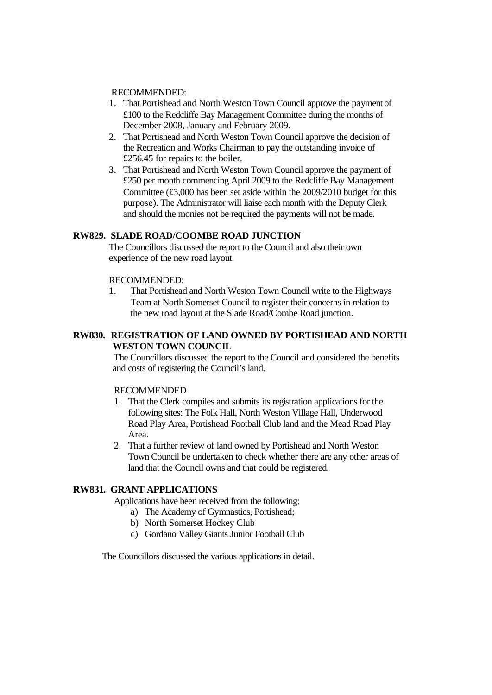#### RECOMMENDED:

- 1. That Portishead and North Weston Town Council approve the payment of £100 to the Redcliffe Bay Management Committee during the months of December 2008, January and February 2009.
- 2. That Portishead and North Weston Town Council approve the decision of the Recreation and Works Chairman to pay the outstanding invoice of £256.45 for repairs to the boiler.
- 3. That Portishead and North Weston Town Council approve the payment of £250 per month commencing April 2009 to the Redcliffe Bay Management Committee (£3,000 has been set aside within the 2009/2010 budget for this purpose). The Administrator will liaise each month with the Deputy Clerk and should the monies not be required the payments will not be made.

## **RW829. SLADE ROAD/COOMBE ROAD JUNCTION**

The Councillors discussed the report to the Council and also their own experience of the new road layout.

#### RECOMMENDED:

1. That Portishead and North Weston Town Council write to the Highways Team at North Somerset Council to register their concerns in relation to the new road layout at the Slade Road/Combe Road junction.

# **RW830. REGISTRATION OF LAND OWNED BY PORTISHEAD AND NORTH WESTON TOWN COUNCIL**

The Councillors discussed the report to the Council and considered the benefits and costs of registering the Council's land.

### RECOMMENDED

- 1. That the Clerk compiles and submits its registration applications for the following sites: The Folk Hall, North Weston Village Hall, Underwood Road Play Area, Portishead Football Club land and the Mead Road Play Area.
- 2. That a further review of land owned by Portishead and North Weston Town Council be undertaken to check whether there are any other areas of land that the Council owns and that could be registered.

## **RW831. GRANT APPLICATIONS**

Applications have been received from the following:

- a) The Academy of Gymnastics, Portishead;
- b) North Somerset Hockey Club
- c) Gordano Valley Giants Junior Football Club

The Councillors discussed the various applications in detail.